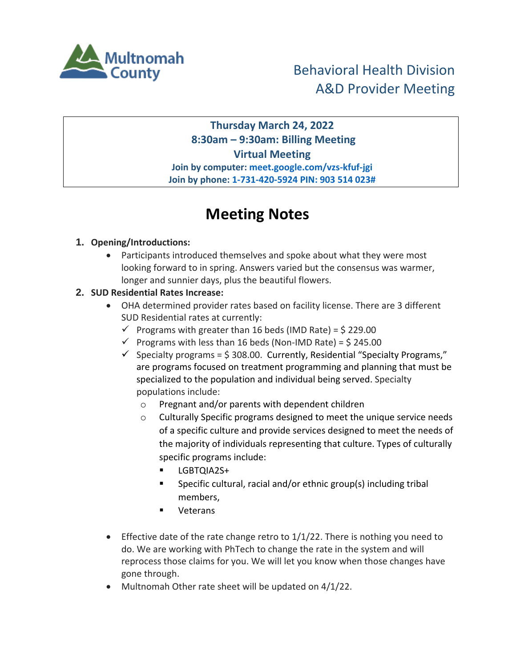

**Thursday March 24, 2022 8:30am – 9:30am: Billing Meeting Virtual Meeting Join by computer: meet.google.com/vzs-kfuf-jgi Join by phone: 1-731-420-5924 PIN: 903 514 023#**

# **Meeting Notes**

## **1. Opening/Introductions:**

 Participants introduced themselves and spoke about what they were most looking forward to in spring. Answers varied but the consensus was warmer, longer and sunnier days, plus the beautiful flowers.

## **2. SUD Residential Rates Increase:**

- OHA determined provider rates based on facility license. There are 3 different SUD Residential rates at currently:
	- $\checkmark$  Programs with greater than 16 beds (IMD Rate) = \$ 229.00
	- $\checkmark$  Programs with less than 16 beds (Non-IMD Rate) = \$ 245.00
	- $\checkmark$  Specialty programs = \$308.00. Currently, Residential "Specialty Programs," are programs focused on treatment programming and planning that must be specialized to the population and individual being served. Specialty populations include:
		- o Pregnant and/or parents with dependent children
		- o Culturally Specific programs designed to meet the unique service needs of a specific culture and provide services designed to meet the needs of the majority of individuals representing that culture. Types of culturally specific programs include:
			- **LGBTOIA2S+**
			- **Specific cultural, racial and/or ethnic group(s) including tribal** members,
			- Veterans
- **Effective date of the rate change retro to**  $1/1/22$ **. There is nothing you need to** do. We are working with PhTech to change the rate in the system and will reprocess those claims for you. We will let you know when those changes have gone through.
- Multnomah Other rate sheet will be updated on 4/1/22.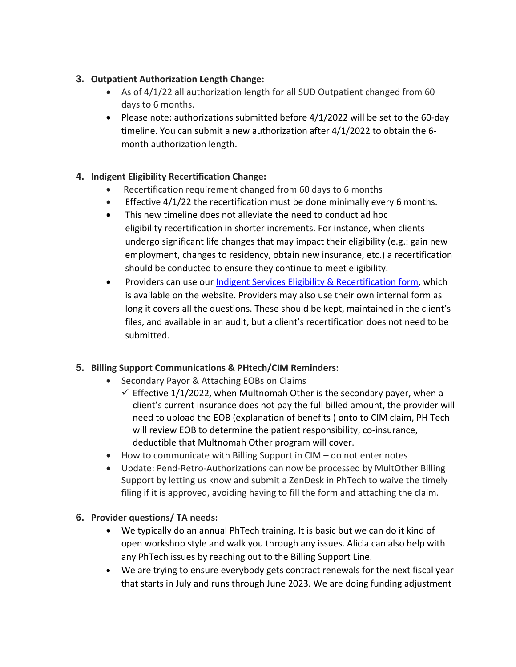#### **3. Outpatient Authorization Length Change:**

- As of 4/1/22 all authorization length for all SUD Outpatient changed from 60 days to 6 months.
- Please note: authorizations submitted before 4/1/2022 will be set to the 60-day timeline. You can submit a new authorization after 4/1/2022 to obtain the 6 month authorization length.

## **4. Indigent Eligibility Recertification Change:**

- Recertification requirement changed from 60 days to 6 months
- Effective 4/1/22 the recertification must be done minimally every 6 months.
- This new timeline does not alleviate the need to conduct ad hoc eligibility recertification in shorter increments. For instance, when clients undergo significant life changes that may impact their eligibility (e.g.: gain new employment, changes to residency, obtain new insurance, etc.) a recertification should be conducted to ensure they continue to meet eligibility.
- Providers can use our [Indigent Services Eligibility & Recertification](https://www.multco.us/file/82220/download) form, which is available on the website. Providers may also use their own internal form as long it covers all the questions. These should be kept, maintained in the client's files, and available in an audit, but a client's recertification does not need to be submitted.

#### **5. Billing Support Communications & PHtech/CIM Reminders:**

- Secondary Payor & Attaching EOBs on Claims
	- $\checkmark$  Effective 1/1/2022, when Multnomah Other is the secondary payer, when a client's current insurance does not pay the full billed amount, the provider will need to upload the EOB (explanation of benefits ) onto to CIM claim, PH Tech will review EOB to determine the patient responsibility, co-insurance, deductible that Multnomah Other program will cover.
- $\bullet$  How to communicate with Billing Support in CIM do not enter notes
- Update: Pend-Retro-Authorizations can now be processed by MultOther Billing Support by letting us know and submit a ZenDesk in PhTech to waive the timely filing if it is approved, avoiding having to fill the form and attaching the claim.

#### **6. Provider questions/ TA needs:**

- We typically do an annual PhTech training. It is basic but we can do it kind of open workshop style and walk you through any issues. Alicia can also help with any PhTech issues by reaching out to the Billing Support Line.
- We are trying to ensure everybody gets contract renewals for the next fiscal year that starts in July and runs through June 2023. We are doing funding adjustment